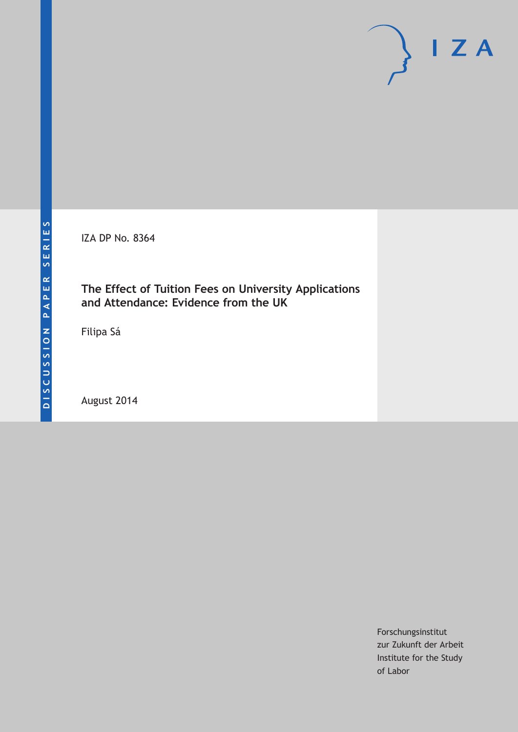IZA DP No. 8364

# **The Effect of Tuition Fees on University Applications and Attendance: Evidence from the UK**

Filipa Sá

August 2014

Forschungsinstitut zur Zukunft der Arbeit Institute for the Study of Labor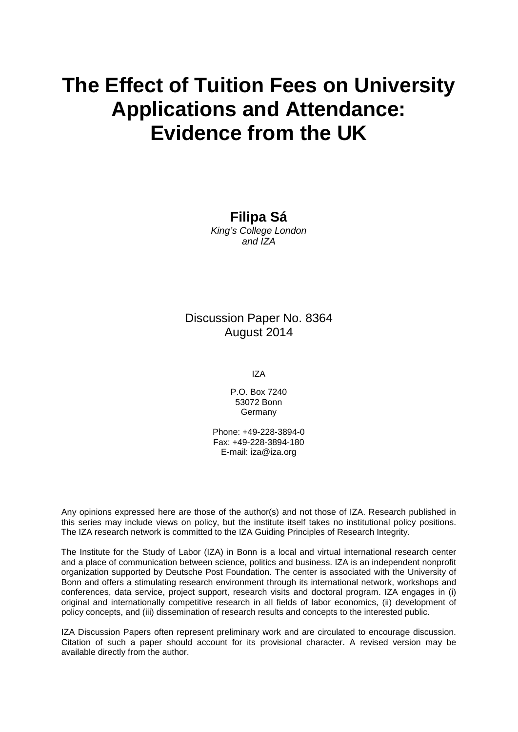# **The Effect of Tuition Fees on University Applications and Attendance: Evidence from the UK**

**Filipa Sá**

*King's College London and IZA*

# Discussion Paper No. 8364 August 2014

IZA

P.O. Box 7240 53072 Bonn Germany

Phone: +49-228-3894-0 Fax: +49-228-3894-180 E-mail: [iza@iza.org](mailto:iza@iza.org)

Any opinions expressed here are those of the author(s) and not those of IZA. Research published in this series may include views on policy, but the institute itself takes no institutional policy positions. The IZA research network is committed to the IZA Guiding Principles of Research Integrity.

The Institute for the Study of Labor (IZA) in Bonn is a local and virtual international research center and a place of communication between science, politics and business. IZA is an independent nonprofit organization supported by Deutsche Post Foundation. The center is associated with the University of Bonn and offers a stimulating research environment through its international network, workshops and conferences, data service, project support, research visits and doctoral program. IZA engages in (i) original and internationally competitive research in all fields of labor economics, (ii) development of policy concepts, and (iii) dissemination of research results and concepts to the interested public.

<span id="page-1-0"></span>IZA Discussion Papers often represent preliminary work and are circulated to encourage discussion. Citation of such a paper should account for its provisional character. A revised version may be available directly from the author.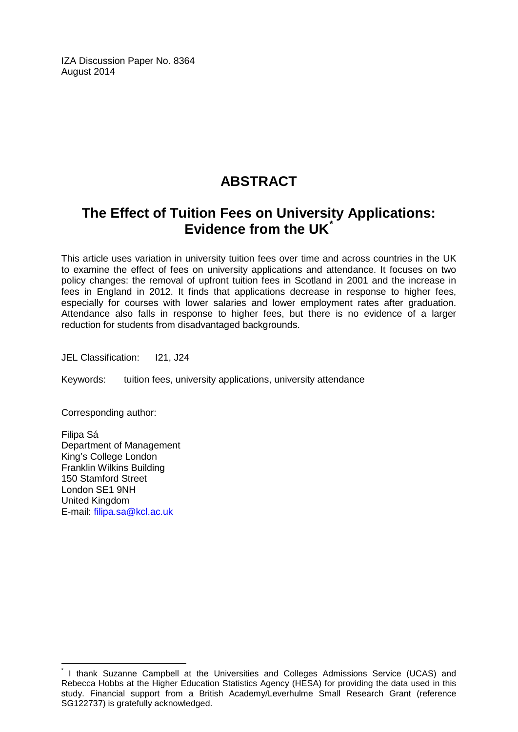IZA Discussion Paper No. 8364 August 2014

# **ABSTRACT**

# **The Effect of Tuition Fees on University Applications: Evidence from the UK[\\*](#page-1-0)**

This article uses variation in university tuition fees over time and across countries in the UK to examine the effect of fees on university applications and attendance. It focuses on two policy changes: the removal of upfront tuition fees in Scotland in 2001 and the increase in fees in England in 2012. It finds that applications decrease in response to higher fees, especially for courses with lower salaries and lower employment rates after graduation. Attendance also falls in response to higher fees, but there is no evidence of a larger reduction for students from disadvantaged backgrounds.

JEL Classification: I21, J24

Keywords: tuition fees, university applications, university attendance

Corresponding author:

Filipa Sá Department of Management King's College London Franklin Wilkins Building 150 Stamford Street London SE1 9NH United Kingdom E-mail: [filipa.sa@kcl.ac.uk](mailto:filipa.sa@kcl.ac.uk)

I thank Suzanne Campbell at the Universities and Colleges Admissions Service (UCAS) and Rebecca Hobbs at the Higher Education Statistics Agency (HESA) for providing the data used in this study. Financial support from a British Academy/Leverhulme Small Research Grant (reference SG122737) is gratefully acknowledged.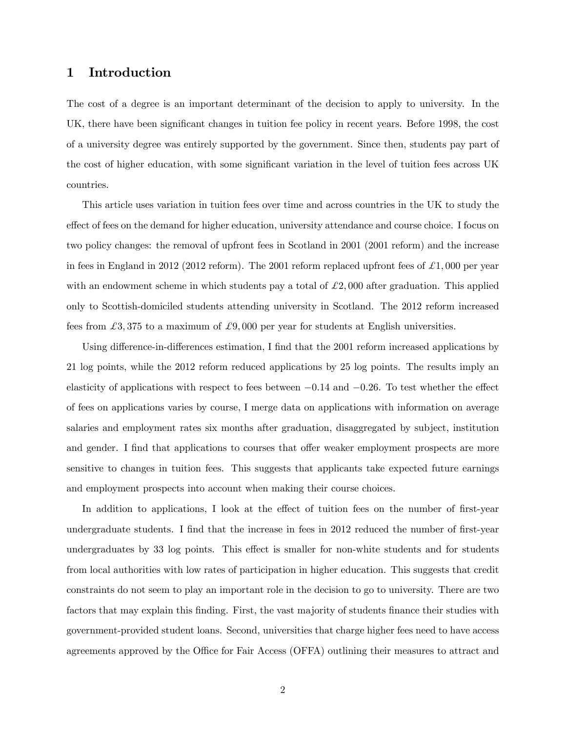## 1 Introduction

The cost of a degree is an important determinant of the decision to apply to university. In the UK, there have been significant changes in tuition fee policy in recent years. Before 1998, the cost of a university degree was entirely supported by the government. Since then, students pay part of the cost of higher education, with some significant variation in the level of tuition fees across UK countries.

This article uses variation in tuition fees over time and across countries in the UK to study the effect of fees on the demand for higher education, university attendance and course choice. I focus on two policy changes: the removal of upfront fees in Scotland in 2001 (2001 reform) and the increase in fees in England in 2012 (2012 reform). The 2001 reform replaced upfront fees of  $\pounds 1,000$  per year with an endowment scheme in which students pay a total of  $\mathcal{L}2,000$  after graduation. This applied only to Scottish-domiciled students attending university in Scotland. The 2012 reform increased fees from  $\pounds3,375$  to a maximum of  $\pounds9,000$  per year for students at English universities.

Using difference-in-differences estimation, I find that the 2001 reform increased applications by 21 log points, while the 2012 reform reduced applications by 25 log points. The results imply an elasticity of applications with respect to fees between  $-0.14$  and  $-0.26$ . To test whether the effect of fees on applications varies by course, I merge data on applications with information on average salaries and employment rates six months after graduation, disaggregated by subject, institution and gender. I find that applications to courses that offer weaker employment prospects are more sensitive to changes in tuition fees. This suggests that applicants take expected future earnings and employment prospects into account when making their course choices.

In addition to applications, I look at the effect of tuition fees on the number of first-year undergraduate students. I find that the increase in fees in 2012 reduced the number of first-year undergraduates by 33 log points. This effect is smaller for non-white students and for students from local authorities with low rates of participation in higher education. This suggests that credit constraints do not seem to play an important role in the decision to go to university. There are two factors that may explain this finding. First, the vast majority of students finance their studies with government-provided student loans. Second, universities that charge higher fees need to have access agreements approved by the Office for Fair Access (OFFA) outlining their measures to attract and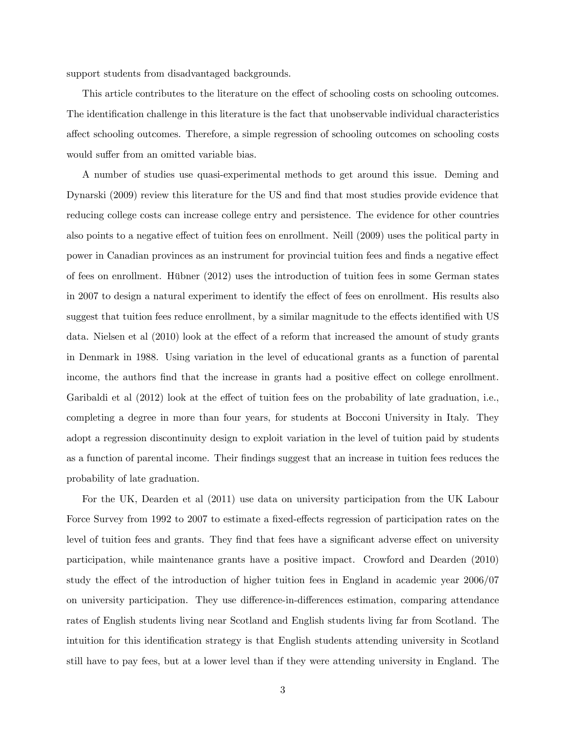support students from disadvantaged backgrounds.

This article contributes to the literature on the effect of schooling costs on schooling outcomes. The identification challenge in this literature is the fact that unobservable individual characteristics a§ect schooling outcomes. Therefore, a simple regression of schooling outcomes on schooling costs would suffer from an omitted variable bias.

A number of studies use quasi-experimental methods to get around this issue. Deming and Dynarski (2009) review this literature for the US and find that most studies provide evidence that reducing college costs can increase college entry and persistence. The evidence for other countries also points to a negative effect of tuition fees on enrollment. Neill (2009) uses the political party in power in Canadian provinces as an instrument for provincial tuition fees and finds a negative effect of fees on enrollment. Hübner  $(2012)$  uses the introduction of tuition fees in some German states in 2007 to design a natural experiment to identify the effect of fees on enrollment. His results also suggest that tuition fees reduce enrollment, by a similar magnitude to the effects identified with US data. Nielsen et al  $(2010)$  look at the effect of a reform that increased the amount of study grants in Denmark in 1988. Using variation in the level of educational grants as a function of parental income, the authors find that the increase in grants had a positive effect on college enrollment. Garibaldi et al  $(2012)$  look at the effect of tuition fees on the probability of late graduation, i.e., completing a degree in more than four years, for students at Bocconi University in Italy. They adopt a regression discontinuity design to exploit variation in the level of tuition paid by students as a function of parental income. Their Öndings suggest that an increase in tuition fees reduces the probability of late graduation.

For the UK, Dearden et al (2011) use data on university participation from the UK Labour Force Survey from 1992 to 2007 to estimate a fixed-effects regression of participation rates on the level of tuition fees and grants. They find that fees have a significant adverse effect on university participation, while maintenance grants have a positive impact. Crowford and Dearden (2010) study the effect of the introduction of higher tuition fees in England in academic year  $2006/07$ on university participation. They use difference-in-differences estimation, comparing attendance rates of English students living near Scotland and English students living far from Scotland. The intuition for this identification strategy is that English students attending university in Scotland still have to pay fees, but at a lower level than if they were attending university in England. The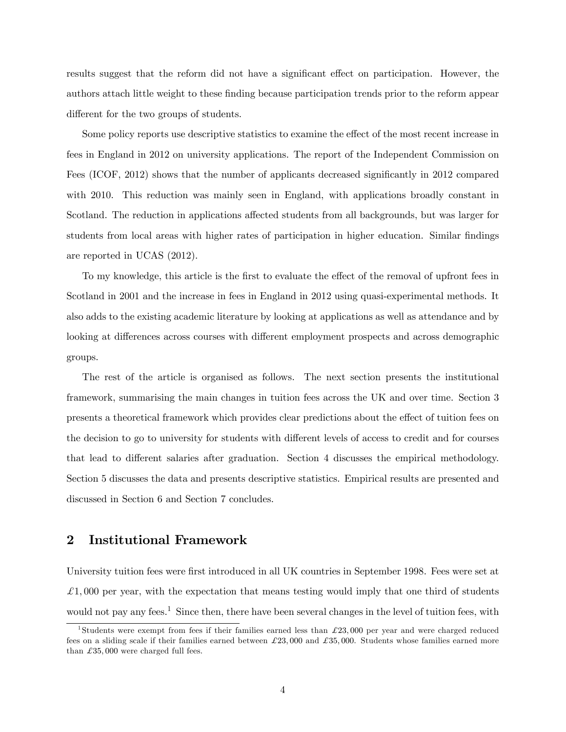results suggest that the reform did not have a significant effect on participation. However, the authors attach little weight to these Önding because participation trends prior to the reform appear different for the two groups of students.

Some policy reports use descriptive statistics to examine the effect of the most recent increase in fees in England in 2012 on university applications. The report of the Independent Commission on Fees (ICOF, 2012) shows that the number of applicants decreased significantly in 2012 compared with 2010. This reduction was mainly seen in England, with applications broadly constant in Scotland. The reduction in applications affected students from all backgrounds, but was larger for students from local areas with higher rates of participation in higher education. Similar findings are reported in UCAS (2012).

To my knowledge, this article is the first to evaluate the effect of the removal of upfront fees in Scotland in 2001 and the increase in fees in England in 2012 using quasi-experimental methods. It also adds to the existing academic literature by looking at applications as well as attendance and by looking at differences across courses with different employment prospects and across demographic groups.

The rest of the article is organised as follows. The next section presents the institutional framework, summarising the main changes in tuition fees across the UK and over time. Section 3 presents a theoretical framework which provides clear predictions about the effect of tuition fees on the decision to go to university for students with different levels of access to credit and for courses that lead to different salaries after graduation. Section 4 discusses the empirical methodology. Section 5 discusses the data and presents descriptive statistics. Empirical results are presented and discussed in Section 6 and Section 7 concludes.

### 2 Institutional Framework

University tuition fees were first introduced in all UK countries in September 1998. Fees were set at  $\pounds$ 1,000 per year, with the expectation that means testing would imply that one third of students would not pay any fees.<sup>1</sup> Since then, there have been several changes in the level of tuition fees, with

<sup>&</sup>lt;sup>1</sup>Students were exempt from fees if their families earned less than  $\pounds 23,000$  per year and were charged reduced fees on a sliding scale if their families earned between  $\pounds 23,000$  and  $\pounds 35,000$ . Students whose families earned more than  $\pounds 35,000$  were charged full fees.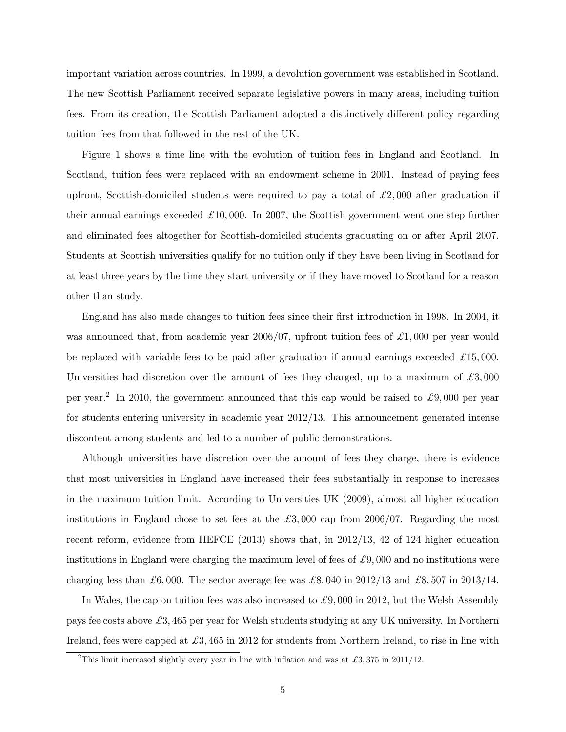important variation across countries. In 1999, a devolution government was established in Scotland. The new Scottish Parliament received separate legislative powers in many areas, including tuition fees. From its creation, the Scottish Parliament adopted a distinctively different policy regarding tuition fees from that followed in the rest of the UK.

Figure 1 shows a time line with the evolution of tuition fees in England and Scotland. In Scotland, tuition fees were replaced with an endowment scheme in 2001. Instead of paying fees upfront, Scottish-domiciled students were required to pay a total of  $\mathcal{L}2,000$  after graduation if their annual earnings exceeded  $\pounds 10,000$ . In 2007, the Scottish government went one step further and eliminated fees altogether for Scottish-domiciled students graduating on or after April 2007. Students at Scottish universities qualify for no tuition only if they have been living in Scotland for at least three years by the time they start university or if they have moved to Scotland for a reason other than study.

England has also made changes to tuition fees since their first introduction in 1998. In 2004, it was announced that, from academic year  $2006/07$ , upfront tuition fees of  $\pounds1,000$  per year would be replaced with variable fees to be paid after graduation if annual earnings exceeded  $\pounds 15,000$ . Universities had discretion over the amount of fees they charged, up to a maximum of  $\pounds 3,000$ per year.<sup>2</sup> In 2010, the government announced that this cap would be raised to £9,000 per year for students entering university in academic year 2012/13. This announcement generated intense discontent among students and led to a number of public demonstrations.

Although universities have discretion over the amount of fees they charge, there is evidence that most universities in England have increased their fees substantially in response to increases in the maximum tuition limit. According to Universities UK (2009), almost all higher education institutions in England chose to set fees at the  $\pounds3,000$  cap from 2006/07. Regarding the most recent reform, evidence from HEFCE (2013) shows that, in 2012/13, 42 of 124 higher education institutions in England were charging the maximum level of fees of  $\mathcal{L}9,000$  and no institutions were charging less than  $\mathcal{L}6,000$ . The sector average fee was  $\mathcal{L}8,040$  in 2012/13 and  $\mathcal{L}8,507$  in 2013/14.

In Wales, the cap on tuition fees was also increased to  $\mathcal{L}9,000$  in 2012, but the Welsh Assembly pays fee costs above  $\mathcal{L}3,465$  per year for Welsh students studying at any UK university. In Northern Ireland, fees were capped at  $\pounds 3,465$  in 2012 for students from Northern Ireland, to rise in line with

<sup>&</sup>lt;sup>2</sup>This limit increased slightly every year in line with inflation and was at £3,375 in 2011/12.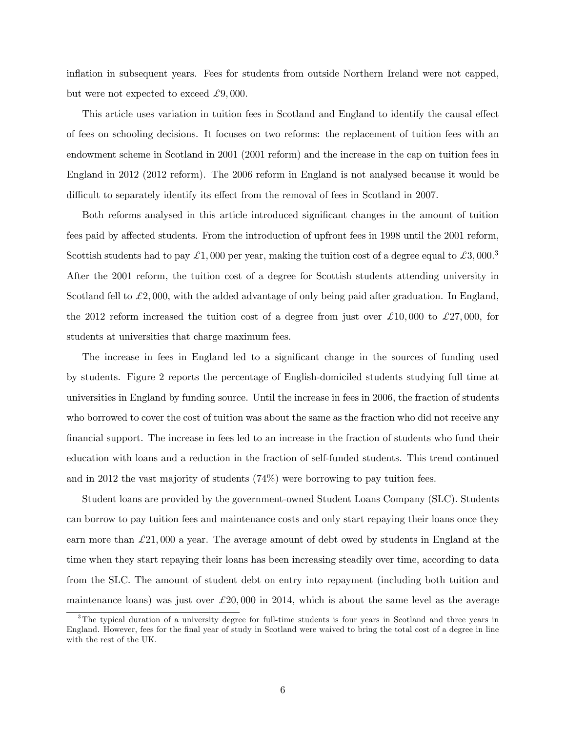inflation in subsequent years. Fees for students from outside Northern Ireland were not capped, but were not expected to exceed  $\pounds 9,000$ .

This article uses variation in tuition fees in Scotland and England to identify the causal effect of fees on schooling decisions. It focuses on two reforms: the replacement of tuition fees with an endowment scheme in Scotland in 2001 (2001 reform) and the increase in the cap on tuition fees in England in 2012 (2012 reform). The 2006 reform in England is not analysed because it would be difficult to separately identify its effect from the removal of fees in Scotland in 2007.

Both reforms analysed in this article introduced significant changes in the amount of tuition fees paid by affected students. From the introduction of upfront fees in 1998 until the 2001 reform, Scottish students had to pay  $\pounds 1,000$  per year, making the tuition cost of a degree equal to  $\pounds 3,000$ .<sup>3</sup> After the 2001 reform, the tuition cost of a degree for Scottish students attending university in Scotland fell to  $\mathcal{L}2,000$ , with the added advantage of only being paid after graduation. In England, the 2012 reform increased the tuition cost of a degree from just over  $\pounds 10,000$  to  $\pounds 27,000$ , for students at universities that charge maximum fees.

The increase in fees in England led to a significant change in the sources of funding used by students. Figure 2 reports the percentage of English-domiciled students studying full time at universities in England by funding source. Until the increase in fees in 2006, the fraction of students who borrowed to cover the cost of tuition was about the same as the fraction who did not receive any Önancial support. The increase in fees led to an increase in the fraction of students who fund their education with loans and a reduction in the fraction of self-funded students. This trend continued and in 2012 the vast majority of students (74%) were borrowing to pay tuition fees.

Student loans are provided by the government-owned Student Loans Company (SLC). Students can borrow to pay tuition fees and maintenance costs and only start repaying their loans once they earn more than  $\pounds 21,000$  a year. The average amount of debt owed by students in England at the time when they start repaying their loans has been increasing steadily over time, according to data from the SLC. The amount of student debt on entry into repayment (including both tuition and maintenance loans) was just over  $\mathcal{L}20,000$  in 2014, which is about the same level as the average

<sup>&</sup>lt;sup>3</sup>The typical duration of a university degree for full-time students is four years in Scotland and three years in England. However, fees for the final year of study in Scotland were waived to bring the total cost of a degree in line with the rest of the UK.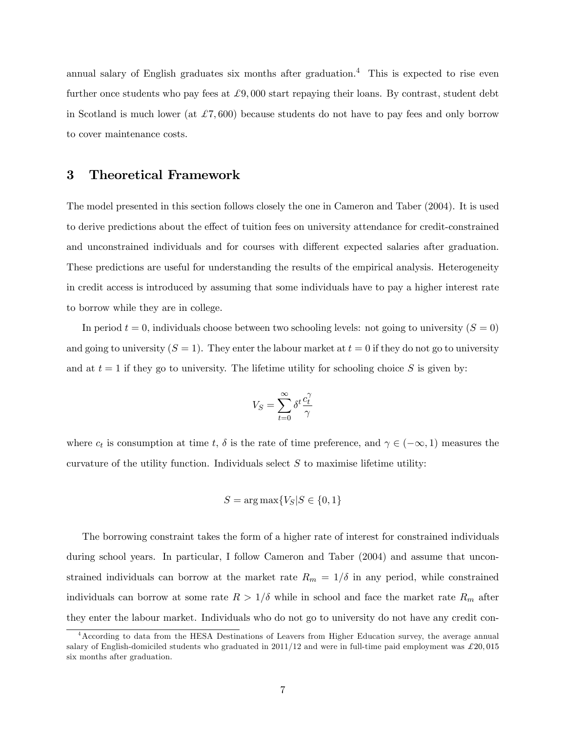annual salary of English graduates six months after graduation.<sup>4</sup> This is expected to rise even further once students who pay fees at  $\mathcal{L}9,000$  start repaying their loans. By contrast, student debt in Scotland is much lower (at  $\pounds 7,600$ ) because students do not have to pay fees and only borrow to cover maintenance costs.

#### 3 Theoretical Framework

The model presented in this section follows closely the one in Cameron and Taber (2004). It is used to derive predictions about the effect of tuition fees on university attendance for credit-constrained and unconstrained individuals and for courses with different expected salaries after graduation. These predictions are useful for understanding the results of the empirical analysis. Heterogeneity in credit access is introduced by assuming that some individuals have to pay a higher interest rate to borrow while they are in college.

In period  $t = 0$ , individuals choose between two schooling levels: not going to university  $(S = 0)$ and going to university  $(S = 1)$ . They enter the labour market at  $t = 0$  if they do not go to university and at  $t = 1$  if they go to university. The lifetime utility for schooling choice S is given by:

$$
V_S = \sum_{t=0}^\infty \delta^t \frac{c_t^\gamma}{\gamma}
$$

where  $c_t$  is consumption at time  $t$ ,  $\delta$  is the rate of time preference, and  $\gamma \in (-\infty, 1)$  measures the curvature of the utility function. Individuals select  $S$  to maximise lifetime utility:

$$
S = \arg \max \{ V_S | S \in \{0, 1\}
$$

The borrowing constraint takes the form of a higher rate of interest for constrained individuals during school years. In particular, I follow Cameron and Taber (2004) and assume that unconstrained individuals can borrow at the market rate  $R_m = 1/\delta$  in any period, while constrained individuals can borrow at some rate  $R > 1/\delta$  while in school and face the market rate  $R_m$  after they enter the labour market. Individuals who do not go to university do not have any credit con-

<sup>4</sup>According to data from the HESA Destinations of Leavers from Higher Education survey, the average annual salary of English-domiciled students who graduated in  $2011/12$  and were in full-time paid employment was  $\pounds 20,015$ six months after graduation.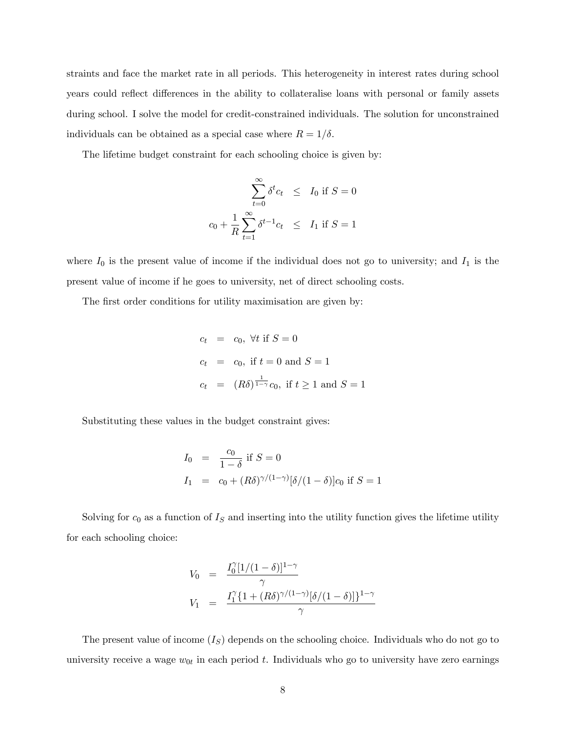straints and face the market rate in all periods. This heterogeneity in interest rates during school years could reflect differences in the ability to collateralise loans with personal or family assets during school. I solve the model for credit-constrained individuals. The solution for unconstrained individuals can be obtained as a special case where  $R = 1/\delta$ .

The lifetime budget constraint for each schooling choice is given by:

$$
\sum_{t=0}^{\infty} \delta^t c_t \leq I_0 \text{ if } S = 0
$$
  

$$
c_0 + \frac{1}{R} \sum_{t=1}^{\infty} \delta^{t-1} c_t \leq I_1 \text{ if } S = 1
$$

where  $I_0$  is the present value of income if the individual does not go to university; and  $I_1$  is the present value of income if he goes to university, net of direct schooling costs.

The first order conditions for utility maximisation are given by:

$$
c_t = c_0, \forall t \text{ if } S = 0
$$
  

$$
c_t = c_0, \text{ if } t = 0 \text{ and } S = 1
$$
  

$$
c_t = (R\delta)^{\frac{1}{1-\gamma}}c_0, \text{ if } t \ge 1 \text{ and } S = 1
$$

Substituting these values in the budget constraint gives:

$$
I_0 = \frac{c_0}{1 - \delta} \text{ if } S = 0
$$
  

$$
I_1 = c_0 + (R\delta)^{\gamma/(1 - \gamma)} [\delta/(1 - \delta)] c_0 \text{ if } S = 1
$$

Solving for  $c_0$  as a function of  $I<sub>S</sub>$  and inserting into the utility function gives the lifetime utility for each schooling choice:

$$
V_0 = \frac{I_0^{\gamma} [1/(1-\delta)]^{1-\gamma}}{\gamma}
$$
  
\n
$$
V_1 = \frac{I_1^{\gamma} \{1 + (R\delta)^{\gamma/(1-\gamma)} [\delta/(1-\delta)]\}^{1-\gamma}}{\gamma}
$$

The present value of income  $(I<sub>S</sub>)$  depends on the schooling choice. Individuals who do not go to university receive a wage  $w_{0t}$  in each period t. Individuals who go to university have zero earnings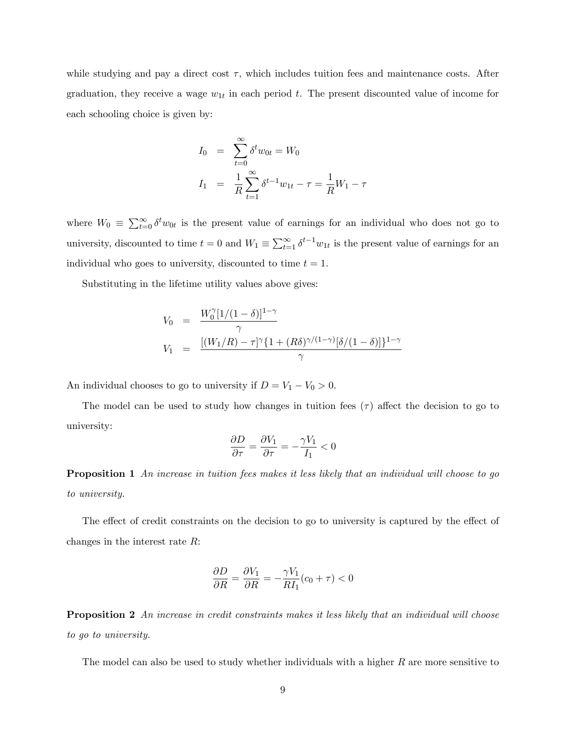while studying and pay a direct cost  $\tau$ , which includes tuition fees and maintenance costs. After graduation, they receive a wage  $w_{1t}$  in each period t. The present discounted value of income for each schooling choice is given by:

$$
I_0 = \sum_{t=0}^{\infty} \delta^t w_{0t} = W_0
$$
  

$$
I_1 = \frac{1}{R} \sum_{t=1}^{\infty} \delta^{t-1} w_{1t} - \tau = \frac{1}{R} W_1 - \tau
$$

where  $W_0 = \sum_{t=0}^{\infty} \delta^t w_{0t}$  is the present value of earnings for an individual who does not go to university, discounted to time  $t = 0$  and  $W_1 \equiv \sum_{t=1}^{\infty} \delta^{t-1} w_{1t}$  is the present value of earnings for an individual who goes to university, discounted to time  $t = 1$ .

Substituting in the lifetime utility values above gives:

$$
V_0 = \frac{W_0^{\gamma} [1/(1-\delta)]^{1-\gamma}}{\gamma}
$$
  
\n
$$
V_1 = \frac{[(W_1/R) - \tau]^{\gamma} \{1 + (R\delta)^{\gamma/(1-\gamma)} [\delta/(1-\delta)]\}^{1-\gamma}}{\gamma}
$$

An individual chooses to go to university if  $D = V_1 - V_0 > 0$ .

The model can be used to study how changes in tuition fees  $(\tau)$  affect the decision to go to university:

$$
\frac{\partial D}{\partial \tau} = \frac{\partial V_1}{\partial \tau} = -\frac{\gamma V_1}{I_1} < 0
$$

**Proposition 1** An increase in tuition fees makes it less likely that an individual will choose to go to university.

The effect of credit constraints on the decision to go to university is captured by the effect of changes in the interest rate R:

$$
\frac{\partial D}{\partial R} = \frac{\partial V_1}{\partial R} = -\frac{\gamma V_1}{R I_1} (c_0 + \tau) < 0
$$

**Proposition 2** An increase in credit constraints makes it less likely that an individual will choose to go to university.

The model can also be used to study whether individuals with a higher  $R$  are more sensitive to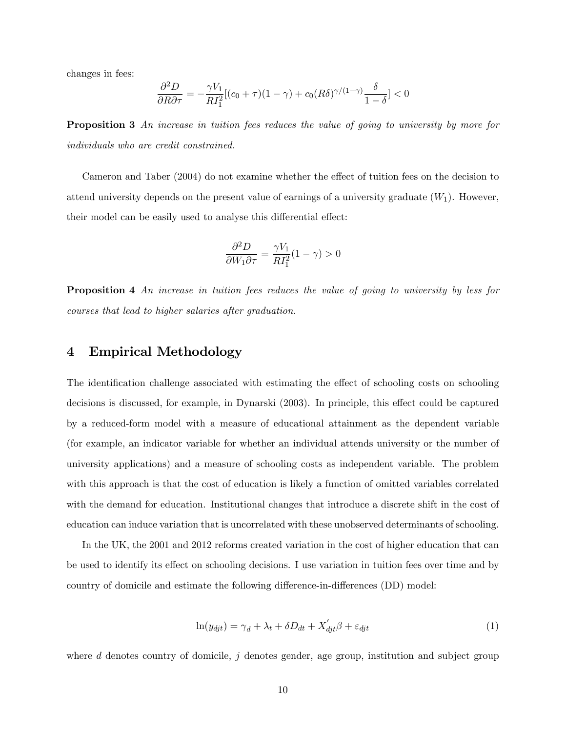changes in fees:

$$
\frac{\partial^2 D}{\partial R \partial \tau} = -\frac{\gamma V_1}{R I_1^2} [(c_0 + \tau)(1 - \gamma) + c_0 (R \delta)^{\gamma/(1 - \gamma)} \frac{\delta}{1 - \delta}] < 0
$$

**Proposition 3** An increase in tuition fees reduces the value of going to university by more for individuals who are credit constrained.

Cameron and Taber (2004) do not examine whether the effect of tuition fees on the decision to attend university depends on the present value of earnings of a university graduate  $(W_1)$ . However, their model can be easily used to analyse this differential effect:

$$
\frac{\partial^2 D}{\partial W_1 \partial \tau} = \frac{\gamma V_1}{R I_1^2} (1 - \gamma) > 0
$$

**Proposition 4** An increase in tuition fees reduces the value of going to university by less for courses that lead to higher salaries after graduation.

#### 4 Empirical Methodology

The identification challenge associated with estimating the effect of schooling costs on schooling decisions is discussed, for example, in Dynarski (2003). In principle, this effect could be captured by a reduced-form model with a measure of educational attainment as the dependent variable (for example, an indicator variable for whether an individual attends university or the number of university applications) and a measure of schooling costs as independent variable. The problem with this approach is that the cost of education is likely a function of omitted variables correlated with the demand for education. Institutional changes that introduce a discrete shift in the cost of education can induce variation that is uncorrelated with these unobserved determinants of schooling.

In the UK, the 2001 and 2012 reforms created variation in the cost of higher education that can be used to identify its effect on schooling decisions. I use variation in tuition fees over time and by country of domicile and estimate the following difference-in-differences (DD) model:

$$
\ln(y_{\text{djt}}) = \gamma_d + \lambda_t + \delta D_{dt} + X'_{\text{djt}}\beta + \varepsilon_{\text{djt}}\tag{1}
$$

where  $d$  denotes country of domicile,  $j$  denotes gender, age group, institution and subject group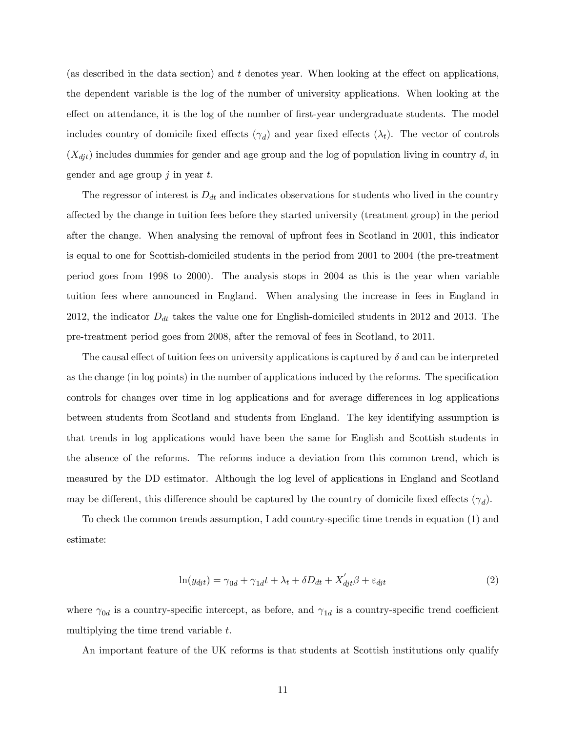(as described in the data section) and  $t$  denotes year. When looking at the effect on applications, the dependent variable is the log of the number of university applications. When looking at the effect on attendance, it is the log of the number of first-year undergraduate students. The model includes country of domicile fixed effects  $(\gamma_d)$  and year fixed effects  $(\lambda_t)$ . The vector of controls  $(X_{\text{d}j\text{t}})$  includes dummies for gender and age group and the log of population living in country d, in gender and age group  $j$  in year  $t$ .

The regressor of interest is  $D_{dt}$  and indicates observations for students who lived in the country a§ected by the change in tuition fees before they started university (treatment group) in the period after the change. When analysing the removal of upfront fees in Scotland in 2001, this indicator is equal to one for Scottish-domiciled students in the period from 2001 to 2004 (the pre-treatment period goes from 1998 to 2000). The analysis stops in 2004 as this is the year when variable tuition fees where announced in England. When analysing the increase in fees in England in 2012, the indicator  $D_{dt}$  takes the value one for English-domiciled students in 2012 and 2013. The pre-treatment period goes from 2008, after the removal of fees in Scotland, to 2011.

The causal effect of tuition fees on university applications is captured by  $\delta$  and can be interpreted as the change (in log points) in the number of applications induced by the reforms. The specification controls for changes over time in log applications and for average differences in log applications between students from Scotland and students from England. The key identifying assumption is that trends in log applications would have been the same for English and Scottish students in the absence of the reforms. The reforms induce a deviation from this common trend, which is measured by the DD estimator. Although the log level of applications in England and Scotland may be different, this difference should be captured by the country of domicile fixed effects  $(\gamma_d)$ .

To check the common trends assumption, I add country-specific time trends in equation (1) and estimate:

$$
\ln(y_{\text{d}jt}) = \gamma_{0d} + \gamma_{1d}t + \lambda_t + \delta D_{dt} + X_{\text{d}jt}'\beta + \varepsilon_{\text{d}jt} \tag{2}
$$

where  $\gamma_{0d}$  is a country-specific intercept, as before, and  $\gamma_{1d}$  is a country-specific trend coefficient multiplying the time trend variable t.

An important feature of the UK reforms is that students at Scottish institutions only qualify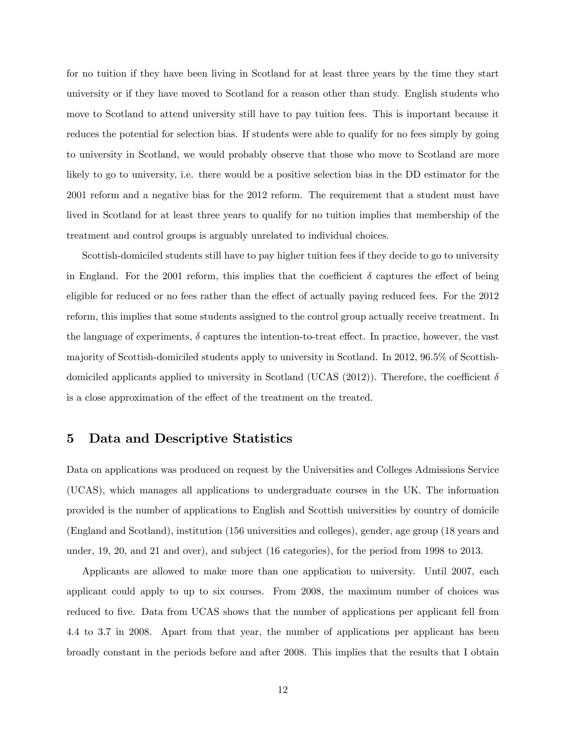for no tuition if they have been living in Scotland for at least three years by the time they start university or if they have moved to Scotland for a reason other than study. English students who move to Scotland to attend university still have to pay tuition fees. This is important because it reduces the potential for selection bias. If students were able to qualify for no fees simply by going to university in Scotland, we would probably observe that those who move to Scotland are more likely to go to university, i.e. there would be a positive selection bias in the DD estimator for the 2001 reform and a negative bias for the 2012 reform. The requirement that a student must have lived in Scotland for at least three years to qualify for no tuition implies that membership of the treatment and control groups is arguably unrelated to individual choices.

Scottish-domiciled students still have to pay higher tuition fees if they decide to go to university in England. For the 2001 reform, this implies that the coefficient  $\delta$  captures the effect of being eligible for reduced or no fees rather than the effect of actually paying reduced fees. For the 2012 reform, this implies that some students assigned to the control group actually receive treatment. In the language of experiments,  $\delta$  captures the intention-to-treat effect. In practice, however, the vast majority of Scottish-domiciled students apply to university in Scotland. In 2012, 96:5% of Scottishdomiciled applicants applied to university in Scotland (UCAS (2012)). Therefore, the coefficient  $\delta$ is a close approximation of the effect of the treatment on the treated.

## 5 Data and Descriptive Statistics

Data on applications was produced on request by the Universities and Colleges Admissions Service (UCAS), which manages all applications to undergraduate courses in the UK. The information provided is the number of applications to English and Scottish universities by country of domicile (England and Scotland), institution (156 universities and colleges), gender, age group (18 years and under, 19, 20, and 21 and over), and subject (16 categories), for the period from 1998 to 2013.

Applicants are allowed to make more than one application to university. Until 2007, each applicant could apply to up to six courses. From 2008, the maximum number of choices was reduced to five. Data from UCAS shows that the number of applications per applicant fell from 4:4 to 3:7 in 2008. Apart from that year, the number of applications per applicant has been broadly constant in the periods before and after 2008. This implies that the results that I obtain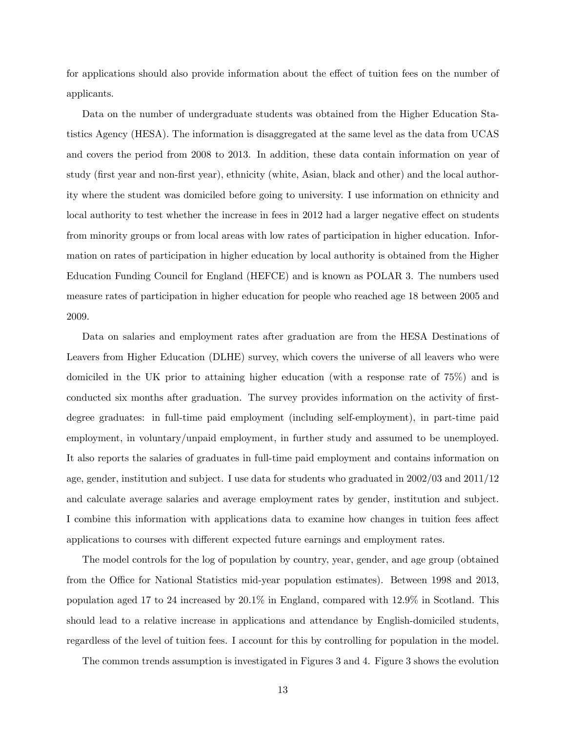for applications should also provide information about the effect of tuition fees on the number of applicants.

Data on the number of undergraduate students was obtained from the Higher Education Statistics Agency (HESA). The information is disaggregated at the same level as the data from UCAS and covers the period from 2008 to 2013. In addition, these data contain information on year of study (Örst year and non-Örst year), ethnicity (white, Asian, black and other) and the local authority where the student was domiciled before going to university. I use information on ethnicity and local authority to test whether the increase in fees in 2012 had a larger negative effect on students from minority groups or from local areas with low rates of participation in higher education. Information on rates of participation in higher education by local authority is obtained from the Higher Education Funding Council for England (HEFCE) and is known as POLAR 3. The numbers used measure rates of participation in higher education for people who reached age 18 between 2005 and 2009.

Data on salaries and employment rates after graduation are from the HESA Destinations of Leavers from Higher Education (DLHE) survey, which covers the universe of all leavers who were domiciled in the UK prior to attaining higher education (with a response rate of 75%) and is conducted six months after graduation. The survey provides information on the activity of firstdegree graduates: in full-time paid employment (including self-employment), in part-time paid employment, in voluntary/unpaid employment, in further study and assumed to be unemployed. It also reports the salaries of graduates in full-time paid employment and contains information on age, gender, institution and subject. I use data for students who graduated in 2002/03 and 2011/12 and calculate average salaries and average employment rates by gender, institution and subject. I combine this information with applications data to examine how changes in tuition fees affect applications to courses with different expected future earnings and employment rates.

The model controls for the log of population by country, year, gender, and age group (obtained from the Office for National Statistics mid-year population estimates). Between 1998 and 2013, population aged 17 to 24 increased by 20:1% in England, compared with 12:9% in Scotland. This should lead to a relative increase in applications and attendance by English-domiciled students, regardless of the level of tuition fees. I account for this by controlling for population in the model.

The common trends assumption is investigated in Figures 3 and 4. Figure 3 shows the evolution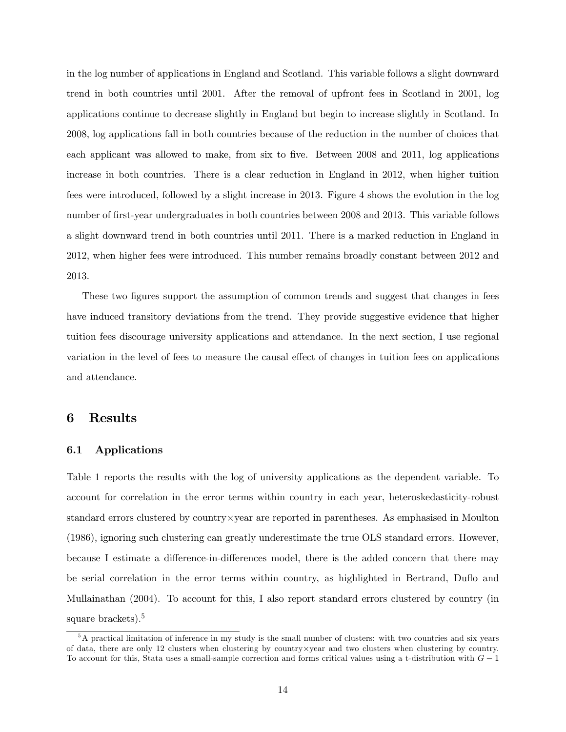in the log number of applications in England and Scotland. This variable follows a slight downward trend in both countries until 2001. After the removal of upfront fees in Scotland in 2001, log applications continue to decrease slightly in England but begin to increase slightly in Scotland. In 2008, log applications fall in both countries because of the reduction in the number of choices that each applicant was allowed to make, from six to five. Between 2008 and 2011, log applications increase in both countries. There is a clear reduction in England in 2012, when higher tuition fees were introduced, followed by a slight increase in 2013. Figure 4 shows the evolution in the log number of first-year undergraduates in both countries between 2008 and 2013. This variable follows a slight downward trend in both countries until 2011. There is a marked reduction in England in 2012, when higher fees were introduced. This number remains broadly constant between 2012 and 2013.

These two figures support the assumption of common trends and suggest that changes in fees have induced transitory deviations from the trend. They provide suggestive evidence that higher tuition fees discourage university applications and attendance. In the next section, I use regional variation in the level of fees to measure the causal effect of changes in tuition fees on applications and attendance.

## 6 Results

#### 6.1 Applications

Table 1 reports the results with the log of university applications as the dependent variable. To account for correlation in the error terms within country in each year, heteroskedasticity-robust standard errors clustered by  $\text{country} \times \text{year}$  are reported in parentheses. As emphasised in Moulton (1986), ignoring such clustering can greatly underestimate the true OLS standard errors. However, because I estimate a difference-in-differences model, there is the added concern that there may be serial correlation in the error terms within country, as highlighted in Bertrand, Duflo and Mullainathan (2004). To account for this, I also report standard errors clustered by country (in square brackets). $5$ 

<sup>5</sup>A practical limitation of inference in my study is the small number of clusters: with two countries and six years of data, there are only 12 clusters when clustering by country- $\times$  year and two clusters when clustering by country. To account for this, Stata uses a small-sample correction and forms critical values using a t-distribution with  $G-1$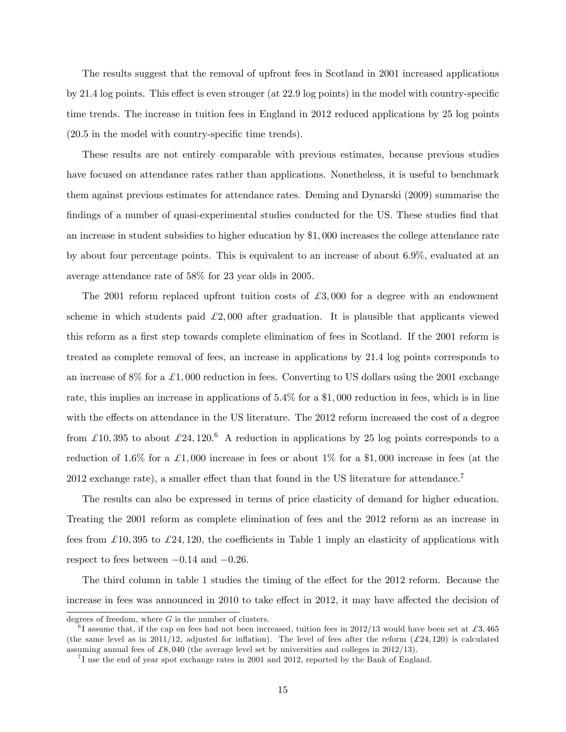The results suggest that the removal of upfront fees in Scotland in 2001 increased applications by 21.4 log points. This effect is even stronger (at  $22.9 \log$  points) in the model with country-specific time trends. The increase in tuition fees in England in 2012 reduced applications by 25 log points  $(20.5 \text{ in the model with country-specific time trends}).$ 

These results are not entirely comparable with previous estimates, because previous studies have focused on attendance rates rather than applications. Nonetheless, it is useful to benchmark them against previous estimates for attendance rates. Deming and Dynarski (2009) summarise the findings of a number of quasi-experimental studies conducted for the US. These studies find that an increase in student subsidies to higher education by \$1; 000 increases the college attendance rate by about four percentage points. This is equivalent to an increase of about 6:9%, evaluated at an average attendance rate of 58% for 23 year olds in 2005.

The 2001 reform replaced upfront tuition costs of  $\pounds 3,000$  for a degree with an endowment scheme in which students paid  $\mathcal{L}2,000$  after graduation. It is plausible that applicants viewed this reform as a first step towards complete elimination of fees in Scotland. If the 2001 reform is treated as complete removal of fees, an increase in applications by 21:4 log points corresponds to an increase of 8% for a  $\pounds1,000$  reduction in fees. Converting to US dollars using the 2001 exchange rate, this implies an increase in applications of  $5.4\%$  for a \$1,000 reduction in fees, which is in line with the effects on attendance in the US literature. The 2012 reform increased the cost of a degree from £10,395 to about £24,120.<sup>6</sup> A reduction in applications by 25 log points corresponds to a reduction of 1.6% for a £1,000 increase in fees or about 1% for a \$1,000 increase in fees (at the 2012 exchange rate), a smaller effect than that found in the US literature for attendance.<sup>7</sup>

The results can also be expressed in terms of price elasticity of demand for higher education. Treating the 2001 reform as complete elimination of fees and the 2012 reform as an increase in fees from  $\pounds 10,395$  to  $\pounds 24,120$ , the coefficients in Table 1 imply an elasticity of applications with respect to fees between  $-0.14$  and  $-0.26$ .

The third column in table 1 studies the timing of the effect for the 2012 reform. Because the increase in fees was announced in 2010 to take effect in 2012, it may have affected the decision of

degrees of freedom, where  $G$  is the number of clusters.

 ${}^{6}$ I assume that, if the cap on fees had not been increased, tuition fees in 2012/13 would have been set at £3,465 (the same level as in 2011/12, adjusted for inflation). The level of fees after the reform  $(\pounds 24, 120)$  is calculated assuming annual fees of  $\mathcal{L}8,040$  (the average level set by universities and colleges in 2012/13).

<sup>&</sup>lt;sup>7</sup>I use the end of year spot exchange rates in 2001 and 2012, reported by the Bank of England.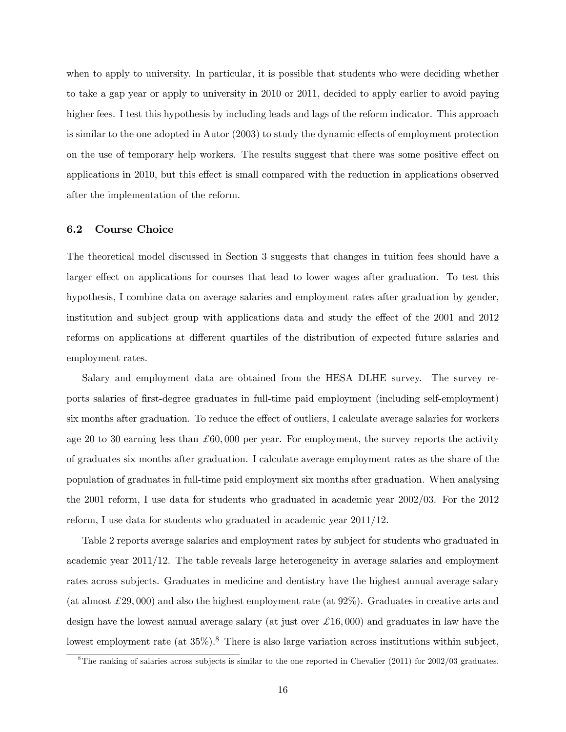when to apply to university. In particular, it is possible that students who were deciding whether to take a gap year or apply to university in 2010 or 2011, decided to apply earlier to avoid paying higher fees. I test this hypothesis by including leads and lags of the reform indicator. This approach is similar to the one adopted in Autor  $(2003)$  to study the dynamic effects of employment protection on the use of temporary help workers. The results suggest that there was some positive effect on applications in 2010, but this effect is small compared with the reduction in applications observed after the implementation of the reform.

#### 6.2 Course Choice

The theoretical model discussed in Section 3 suggests that changes in tuition fees should have a larger effect on applications for courses that lead to lower wages after graduation. To test this hypothesis, I combine data on average salaries and employment rates after graduation by gender, institution and subject group with applications data and study the effect of the 2001 and 2012 reforms on applications at different quartiles of the distribution of expected future salaries and employment rates.

Salary and employment data are obtained from the HESA DLHE survey. The survey reports salaries of Örst-degree graduates in full-time paid employment (including self-employment) six months after graduation. To reduce the effect of outliers, I calculate average salaries for workers age 20 to 30 earning less than  $\pounds 60,000$  per year. For employment, the survey reports the activity of graduates six months after graduation. I calculate average employment rates as the share of the population of graduates in full-time paid employment six months after graduation. When analysing the 2001 reform, I use data for students who graduated in academic year 2002/03. For the 2012 reform, I use data for students who graduated in academic year 2011/12.

Table 2 reports average salaries and employment rates by subject for students who graduated in academic year 2011/12. The table reveals large heterogeneity in average salaries and employment rates across subjects. Graduates in medicine and dentistry have the highest annual average salary (at almost  $\mathcal{L}29,000$ ) and also the highest employment rate (at  $92\%$ ). Graduates in creative arts and design have the lowest annual average salary (at just over  $\pounds 16,000$ ) and graduates in law have the lowest employment rate (at  $35\%$ ).<sup>8</sup> There is also large variation across institutions within subject,

 $8$ The ranking of salaries across subjects is similar to the one reported in Chevalier (2011) for  $2002/03$  graduates.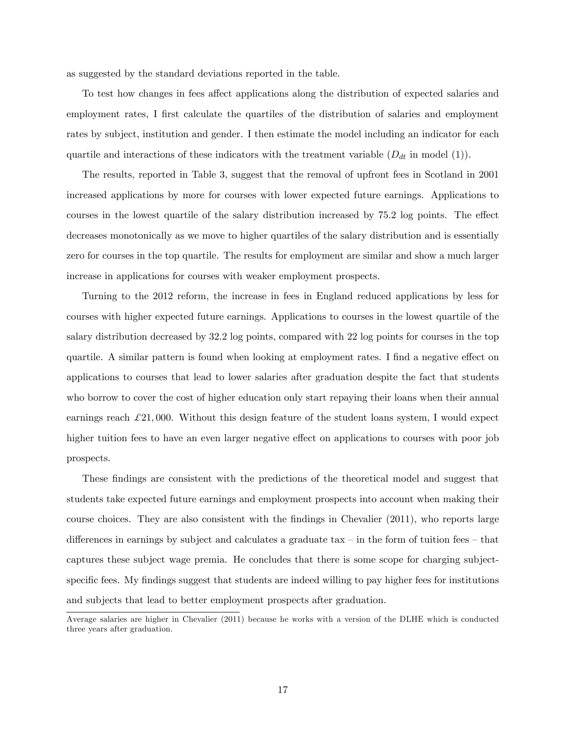as suggested by the standard deviations reported in the table.

To test how changes in fees affect applications along the distribution of expected salaries and employment rates, I first calculate the quartiles of the distribution of salaries and employment rates by subject, institution and gender. I then estimate the model including an indicator for each quartile and interactions of these indicators with the treatment variable  $(D_{dt}$  in model (1)).

The results, reported in Table 3, suggest that the removal of upfront fees in Scotland in 2001 increased applications by more for courses with lower expected future earnings. Applications to courses in the lowest quartile of the salary distribution increased by 75.2 log points. The effect decreases monotonically as we move to higher quartiles of the salary distribution and is essentially zero for courses in the top quartile. The results for employment are similar and show a much larger increase in applications for courses with weaker employment prospects.

Turning to the 2012 reform, the increase in fees in England reduced applications by less for courses with higher expected future earnings. Applications to courses in the lowest quartile of the salary distribution decreased by 32:2 log points, compared with 22 log points for courses in the top quartile. A similar pattern is found when looking at employment rates. I find a negative effect on applications to courses that lead to lower salaries after graduation despite the fact that students who borrow to cover the cost of higher education only start repaying their loans when their annual earnings reach  $\pounds 21,000$ . Without this design feature of the student loans system, I would expect higher tuition fees to have an even larger negative effect on applications to courses with poor job prospects.

These findings are consistent with the predictions of the theoretical model and suggest that students take expected future earnings and employment prospects into account when making their course choices. They are also consistent with the Öndings in Chevalier (2011), who reports large differences in earnings by subject and calculates a graduate tax  $\overline{\phantom{a}}$  in the form of tuition fees  $\overline{\phantom{a}}$  that captures these subject wage premia. He concludes that there is some scope for charging subjectspecific fees. My findings suggest that students are indeed willing to pay higher fees for institutions and subjects that lead to better employment prospects after graduation.

Average salaries are higher in Chevalier (2011) because he works with a version of the DLHE which is conducted three years after graduation.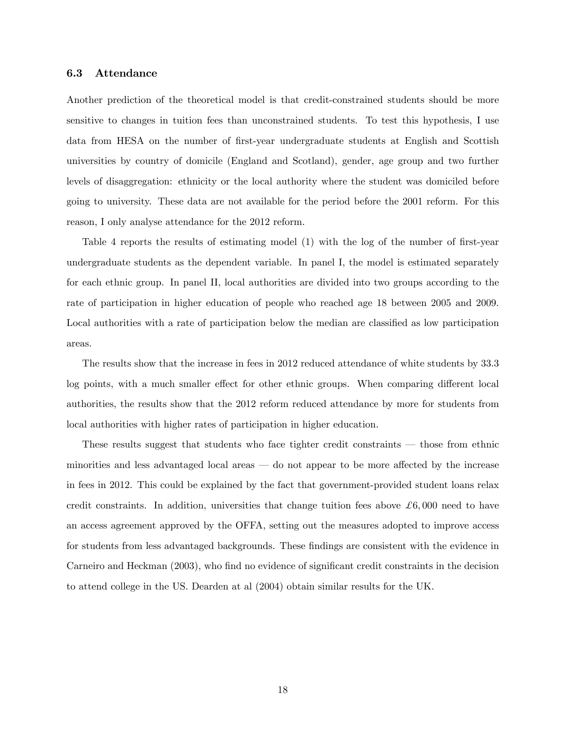#### 6.3 Attendance

Another prediction of the theoretical model is that credit-constrained students should be more sensitive to changes in tuition fees than unconstrained students. To test this hypothesis, I use data from HESA on the number of first-year undergraduate students at English and Scottish universities by country of domicile (England and Scotland), gender, age group and two further levels of disaggregation: ethnicity or the local authority where the student was domiciled before going to university. These data are not available for the period before the 2001 reform. For this reason, I only analyse attendance for the 2012 reform.

Table 4 reports the results of estimating model (1) with the log of the number of first-year undergraduate students as the dependent variable. In panel I, the model is estimated separately for each ethnic group. In panel II, local authorities are divided into two groups according to the rate of participation in higher education of people who reached age 18 between 2005 and 2009. Local authorities with a rate of participation below the median are classified as low participation areas.

The results show that the increase in fees in 2012 reduced attendance of white students by 33:3 log points, with a much smaller effect for other ethnic groups. When comparing different local authorities, the results show that the 2012 reform reduced attendance by more for students from local authorities with higher rates of participation in higher education.

These results suggest that students who face tighter credit constraints  $-$  those from ethnic minorities and less advantaged local areas  $\sim$  do not appear to be more affected by the increase in fees in 2012. This could be explained by the fact that government-provided student loans relax credit constraints. In addition, universities that change tuition fees above  $\pounds 6,000$  need to have an access agreement approved by the OFFA, setting out the measures adopted to improve access for students from less advantaged backgrounds. These findings are consistent with the evidence in Carneiro and Heckman (2003), who find no evidence of significant credit constraints in the decision to attend college in the US. Dearden at al (2004) obtain similar results for the UK.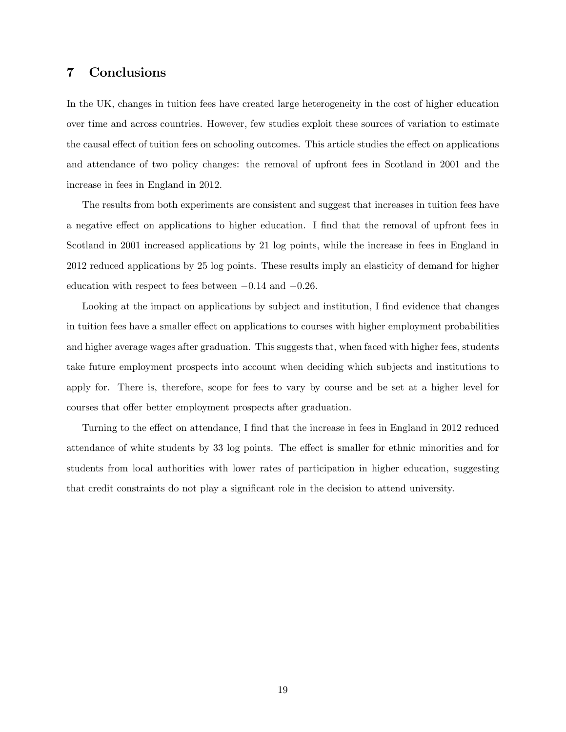## 7 Conclusions

In the UK, changes in tuition fees have created large heterogeneity in the cost of higher education over time and across countries. However, few studies exploit these sources of variation to estimate the causal effect of tuition fees on schooling outcomes. This article studies the effect on applications and attendance of two policy changes: the removal of upfront fees in Scotland in 2001 and the increase in fees in England in 2012.

The results from both experiments are consistent and suggest that increases in tuition fees have a negative effect on applications to higher education. I find that the removal of upfront fees in Scotland in 2001 increased applications by 21 log points, while the increase in fees in England in 2012 reduced applications by 25 log points. These results imply an elasticity of demand for higher education with respect to fees between  $-0.14$  and  $-0.26$ .

Looking at the impact on applications by subject and institution, I find evidence that changes in tuition fees have a smaller effect on applications to courses with higher employment probabilities and higher average wages after graduation. This suggests that, when faced with higher fees, students take future employment prospects into account when deciding which subjects and institutions to apply for. There is, therefore, scope for fees to vary by course and be set at a higher level for courses that offer better employment prospects after graduation.

Turning to the effect on attendance, I find that the increase in fees in England in 2012 reduced attendance of white students by 33 log points. The effect is smaller for ethnic minorities and for students from local authorities with lower rates of participation in higher education, suggesting that credit constraints do not play a significant role in the decision to attend university.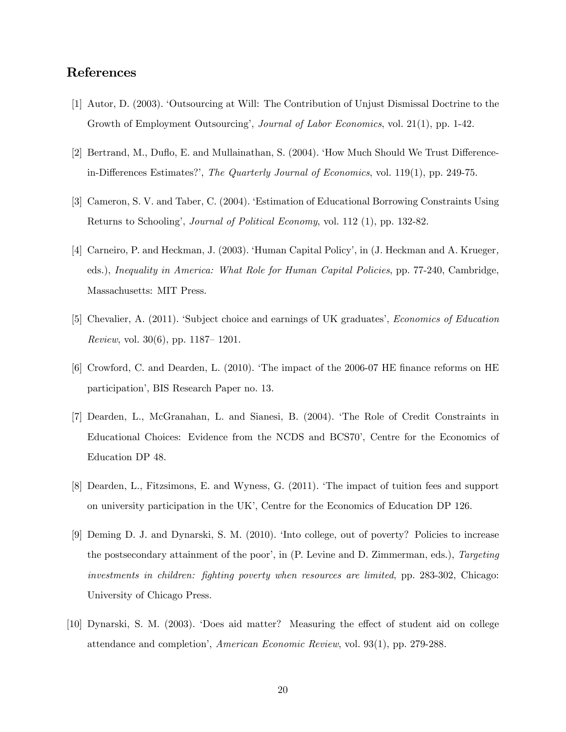# References

- [1] Autor, D. (2003). ëOutsourcing at Will: The Contribution of Unjust Dismissal Doctrine to the Growth of Employment Outsourcing', *Journal of Labor Economics*, vol. 21(1), pp. 1-42.
- [2] Bertrand, M., Duflo, E. and Mullainathan, S. (2004). 'How Much Should We Trust Differencein-Differences Estimates?', The Quarterly Journal of Economics, vol.  $119(1)$ , pp. 249-75.
- [3] Cameron, S. V. and Taber, C. (2004). ëEstimation of Educational Borrowing Constraints Using Returns to Schoolingí, Journal of Political Economy, vol. 112 (1), pp. 132-82.
- [4] Carneiro, P. and Heckman, J. (2003). 'Human Capital Policy', in (J. Heckman and A. Krueger, eds.), Inequality in America: What Role for Human Capital Policies, pp. 77-240, Cambridge, Massachusetts: MIT Press.
- [5] Chevalier, A. (2011). Subject choice and earnings of UK graduates', *Economics of Education* Review, vol. 30(6), pp. 1187–1201.
- [6] Crowford, C. and Dearden, L.  $(2010)$ . The impact of the 2006-07 HE finance reforms on HE participation<sup>'</sup>, BIS Research Paper no. 13.
- [7] Dearden, L., McGranahan, L. and Sianesi, B. (2004). ëThe Role of Credit Constraints in Educational Choices: Evidence from the NCDS and BCS70', Centre for the Economics of Education DP 48.
- [8] Dearden, L., Fitzsimons, E. and Wyness, G. (2011). ëThe impact of tuition fees and support on university participation in the UKí, Centre for the Economics of Education DP 126.
- [9] Deming D. J. and Dynarski, S. M. (2010). ëInto college, out of poverty? Policies to increase the postsecondary attainment of the poor', in (P. Levine and D. Zimmerman, eds.), Targeting investments in children: fighting poverty when resources are limited, pp. 283-302, Chicago: University of Chicago Press.
- [10] Dynarski, S. M. (2003). 'Does aid matter? Measuring the effect of student aid on college attendance and completion', American Economic Review, vol. 93(1), pp. 279-288.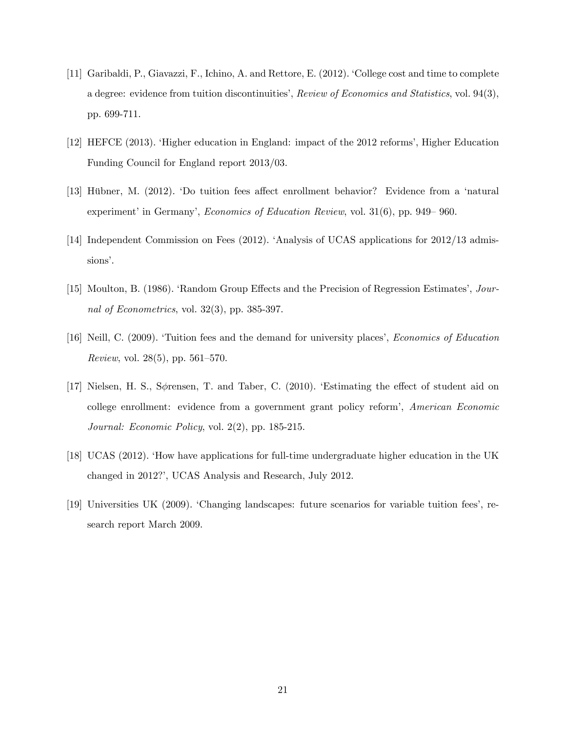- [11] Garibaldi, P., Giavazzi, F., Ichino, A. and Rettore, E. (2012). ëCollege cost and time to complete a degree: evidence from tuition discontinuities', Review of Economics and Statistics, vol. 94(3), pp. 699-711.
- [12] HEFCE (2013). ëHigher education in England: impact of the 2012 reformsí, Higher Education Funding Council for England report 2013/03.
- [13] Hübner, M. (2012). 'Do tuition fees affect enrollment behavior? Evidence from a 'natural experiment' in Germany', *Economics of Education Review*, vol.  $31(6)$ , pp.  $949-960$ .
- [14] Independent Commission on Fees (2012). 'Analysis of UCAS applications for 2012/13 admissions'.
- [15] Moulton, B. (1986). 'Random Group Effects and the Precision of Regression Estimates', Journal of Econometrics, vol. 32(3), pp. 385-397.
- [16] Neill, C. (2009). Tuition fees and the demand for university places', *Economics of Education Review*, vol. 28(5), pp. 561–570.
- [17] Nielsen, H. S., S $\phi$ rensen, T. and Taber, C. (2010). Estimating the effect of student aid on college enrollment: evidence from a government grant policy reform<sup>'</sup>, American Economic Journal: Economic Policy, vol. 2(2), pp. 185-215.
- [18] UCAS (2012). ëHow have applications for full-time undergraduate higher education in the UK changed in 2012?', UCAS Analysis and Research, July 2012.
- [19] Universities UK (2009). ëChanging landscapes: future scenarios for variable tuition feesí, research report March 2009.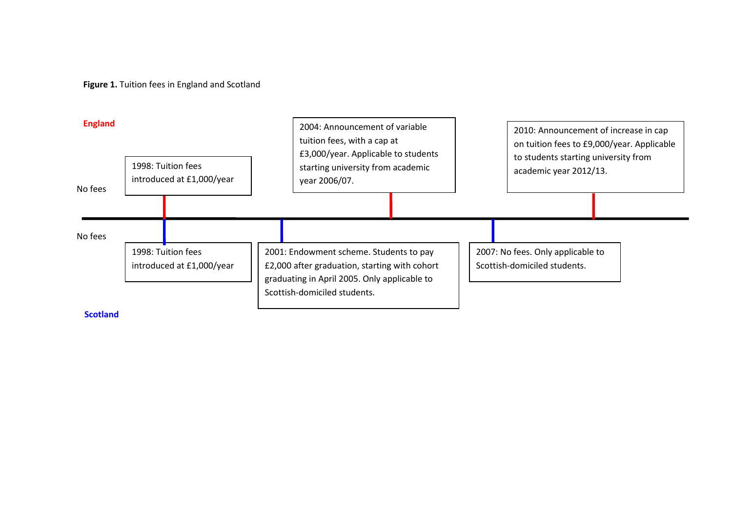**Figure 1.** Tuition fees in England and Scotland

| <b>England</b><br>1998: Tuition fees<br>introduced at £1,000/year<br>No fees |                                                 |  | 2004: Announcement of variable<br>tuition fees, with a cap at<br>£3,000/year. Applicable to students<br>starting university from academic<br>year 2006/07.               |  | 2010: Announcement of increase in cap<br>on tuition fees to £9,000/year. Applicable<br>to students starting university from<br>academic year 2012/13. |  |  |
|------------------------------------------------------------------------------|-------------------------------------------------|--|--------------------------------------------------------------------------------------------------------------------------------------------------------------------------|--|-------------------------------------------------------------------------------------------------------------------------------------------------------|--|--|
|                                                                              |                                                 |  |                                                                                                                                                                          |  |                                                                                                                                                       |  |  |
| No fees                                                                      | 1998: Tuition fees<br>introduced at £1,000/year |  | 2001: Endowment scheme. Students to pay<br>£2,000 after graduation, starting with cohort<br>graduating in April 2005. Only applicable to<br>Scottish-domiciled students. |  | 2007: No fees. Only applicable to<br>Scottish-domiciled students.                                                                                     |  |  |

**Scotland**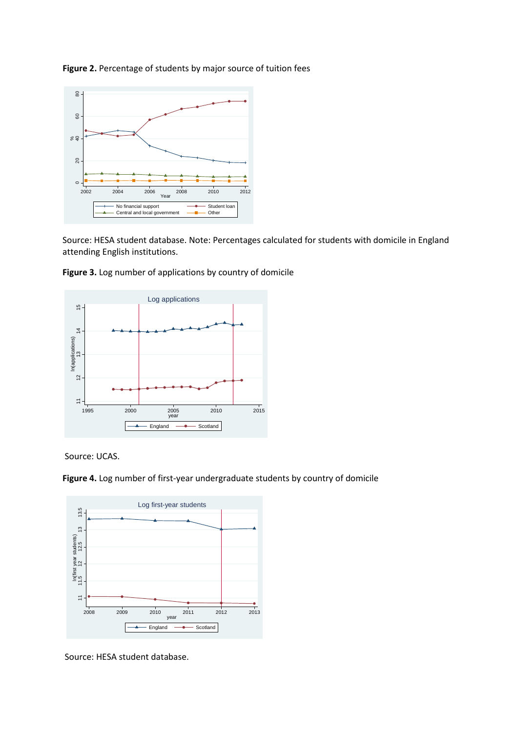

**Figure 2.** Percentage of students by major source of tuition fees

Source: HESA student database. Note: Percentages calculated for students with domicile in England attending English institutions.



**Figure 3.** Log number of applications by country of domicile

Source: UCAS.

**Figure 4.** Log number of first-year undergraduate students by country of domicile



Source: HESA student database.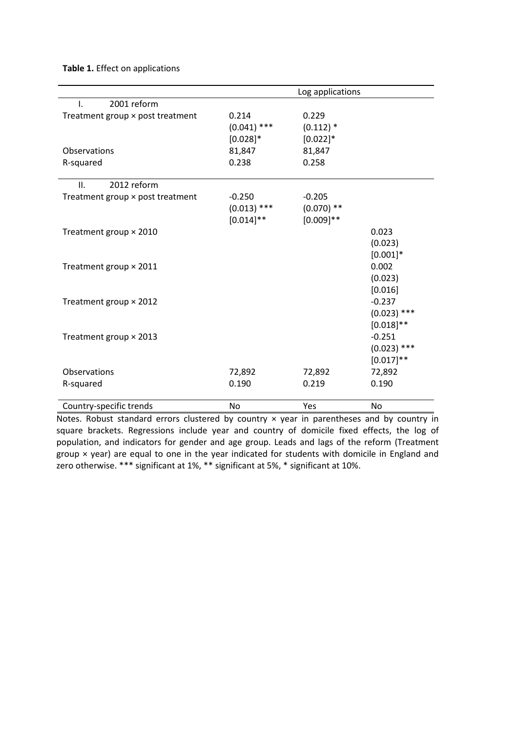**Table 1.** Effect on applications

|                                  |               | Log applications |               |
|----------------------------------|---------------|------------------|---------------|
| 2001 reform<br>ı.                |               |                  |               |
| Treatment group × post treatment | 0.214         | 0.229            |               |
|                                  | $(0.041)$ *** | $(0.112)*$       |               |
|                                  | $[0.028]$ *   | $[0.022]$ *      |               |
| Observations                     | 81,847        | 81,847           |               |
| R-squared                        | 0.238         | 0.258            |               |
| 2012 reform<br>II.               |               |                  |               |
| Treatment group × post treatment | $-0.250$      | $-0.205$         |               |
|                                  | $(0.013)$ *** | $(0.070)$ **     |               |
|                                  | $[0.014]$ **  | $[0.009]$ **     |               |
| Treatment group × 2010           |               |                  | 0.023         |
|                                  |               |                  | (0.023)       |
|                                  |               |                  | $[0.001]*$    |
| Treatment group × 2011           |               |                  | 0.002         |
|                                  |               |                  | (0.023)       |
|                                  |               |                  | [0.016]       |
| Treatment group × 2012           |               |                  | $-0.237$      |
|                                  |               |                  | $(0.023)$ *** |
|                                  |               |                  | $[0.018]$ **  |
| Treatment group × 2013           |               |                  | $-0.251$      |
|                                  |               |                  | $(0.023)$ *** |
|                                  |               |                  | $[0.017]$ **  |
| Observations                     | 72,892        | 72,892           | 72,892        |
| R-squared                        | 0.190         | 0.219            | 0.190         |
|                                  |               |                  |               |
| Country-specific trends          | No            | Yes              | No.           |

Notes. Robust standard errors clustered by country x year in parentheses and by country in square brackets. Regressions include year and country of domicile fixed effects, the log of population, and indicators for gender and age group. Leads and lags of the reform (Treatment group × year) are equal to one in the year indicated for students with domicile in England and zero otherwise. \*\*\* significant at 1%, \*\* significant at 5%, \* significant at 10%.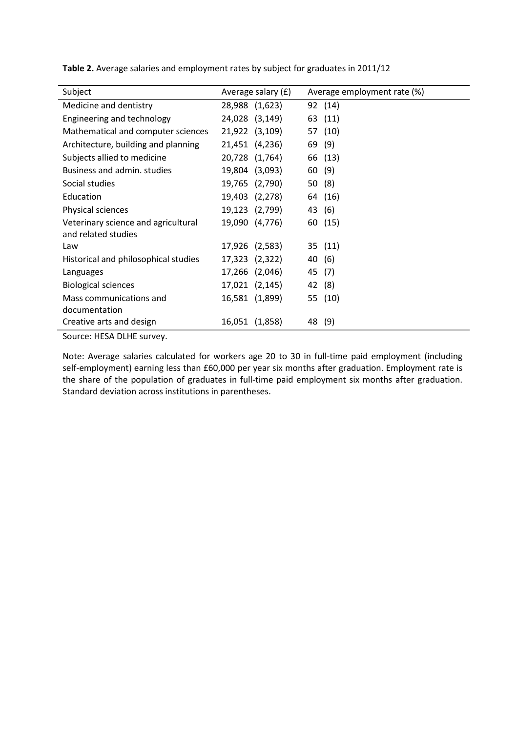| Subject                              | Average salary (£) | Average employment rate (%) |
|--------------------------------------|--------------------|-----------------------------|
| Medicine and dentistry               | 28,988 (1,623)     | 92 (14)                     |
| Engineering and technology           | 24,028 (3,149)     | 63 (11)                     |
| Mathematical and computer sciences   | 21,922 (3,109)     | 57 (10)                     |
| Architecture, building and planning  | 21,451 (4,236)     | (9)<br>69                   |
| Subjects allied to medicine          | 20,728 (1,764)     | 66 (13)                     |
| Business and admin. studies          | 19,804 (3,093)     | 60 (9)                      |
| Social studies                       | 19,765 (2,790)     | 50 (8)                      |
| Education                            | 19,403 (2,278)     | 64 (16)                     |
| Physical sciences                    | 19,123 (2,799)     | 43 (6)                      |
| Veterinary science and agricultural  | 19,090 (4,776)     | 60 (15)                     |
| and related studies                  |                    |                             |
| Law                                  | 17,926 (2,583)     | 35 (11)                     |
| Historical and philosophical studies | 17,323 (2,322)     | 40 (6)                      |
| Languages                            | 17,266 (2,046)     | 45<br>(7)                   |
| <b>Biological sciences</b>           | 17,021 (2,145)     | 42 (8)                      |
| Mass communications and              | 16,581 (1,899)     | 55 (10)                     |
| documentation                        |                    |                             |
| Creative arts and design             | 16,051 (1,858)     | 48 (9)                      |
|                                      |                    |                             |

**Table 2.** Average salaries and employment rates by subject for graduates in 2011/12

Source: HESA DLHE survey.

Note: Average salaries calculated for workers age 20 to 30 in full-time paid employment (including self-employment) earning less than £60,000 per year six months after graduation. Employment rate is the share of the population of graduates in full-time paid employment six months after graduation. Standard deviation across institutions in parentheses.